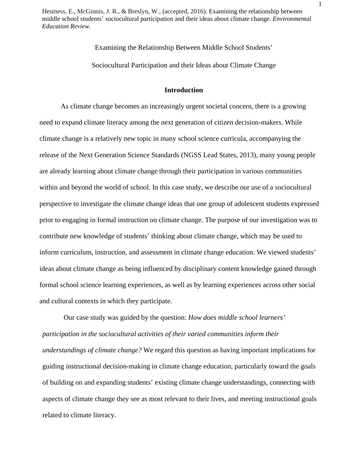Examining the Relationship Between Middle School Students'

Sociocultural Participation and their Ideas about Climate Change

## **Introduction**

As climate change becomes an increasingly urgent societal concern, there is a growing need to expand climate literacy among the next generation of citizen decision-makers. While climate change is a relatively new topic in many school science curricula, accompanying the release of the Next Generation Science Standards (NGSS Lead States, 2013), many young people are already learning about climate change through their participation in various communities within and beyond the world of school. In this case study, we describe our use of a sociocultural perspective to investigate the climate change ideas that one group of adolescent students expressed prior to engaging in formal instruction on climate change. The purpose of our investigation was to contribute new knowledge of students' thinking about climate change, which may be used to inform curriculum, instruction, and assessment in climate change education. We viewed students' ideas about climate change as being influenced by disciplinary content knowledge gained through formal school science learning experiences, as well as by learning experiences across other social and cultural contexts in which they participate.

Our case study was guided by the question: *How does middle school learners' participation in the sociocultural activities of their varied communities inform their understandings of climate change?* We regard this question as having important implications for guiding instructional decision-making in climate change education, particularly toward the goals of building on and expanding students' existing climate change understandings, connecting with aspects of climate change they see as most relevant to their lives, and meeting instructional goals related to climate literacy.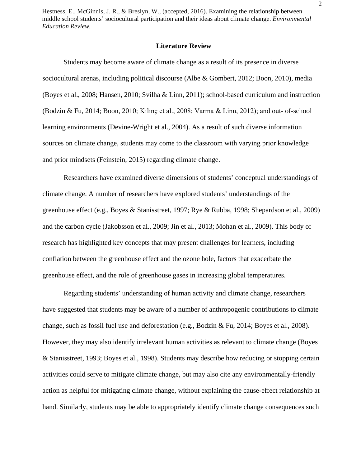### **Literature Review**

Students may become aware of climate change as a result of its presence in diverse sociocultural arenas, including political discourse (Albe & Gombert, 2012; Boon, 2010), media (Boyes et al., 2008; Hansen, 2010; Svilha & Linn, 2011); school-based curriculum and instruction (Bodzin & Fu, 2014; Boon, 2010; Kılınç et al., 2008; Varma & Linn, 2012); and out- of-school learning environments (Devine-Wright et al., 2004). As a result of such diverse information sources on climate change, students may come to the classroom with varying prior knowledge and prior mindsets (Feinstein, 2015) regarding climate change.

Researchers have examined diverse dimensions of students' conceptual understandings of climate change. A number of researchers have explored students' understandings of the greenhouse effect (e.g., Boyes & Stanisstreet, 1997; Rye & Rubba, 1998; Shepardson et al., 2009) and the carbon cycle (Jakobsson et al., 2009; Jin et al., 2013; Mohan et al., 2009). This body of research has highlighted key concepts that may present challenges for learners, including conflation between the greenhouse effect and the ozone hole, factors that exacerbate the greenhouse effect, and the role of greenhouse gases in increasing global temperatures.

Regarding students' understanding of human activity and climate change, researchers have suggested that students may be aware of a number of anthropogenic contributions to climate change, such as fossil fuel use and deforestation (e.g., Bodzin & Fu, 2014; Boyes et al., 2008). However, they may also identify irrelevant human activities as relevant to climate change (Boyes & Stanisstreet, 1993; Boyes et al., 1998). Students may describe how reducing or stopping certain activities could serve to mitigate climate change, but may also cite any environmentally-friendly action as helpful for mitigating climate change, without explaining the cause-effect relationship at hand. Similarly, students may be able to appropriately identify climate change consequences such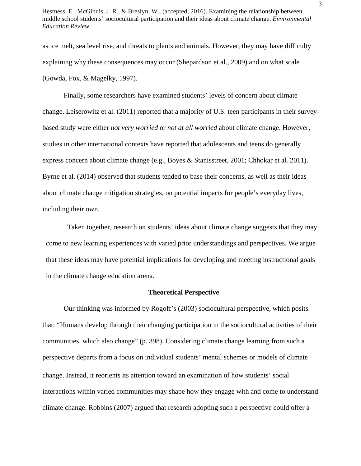as ice melt, sea level rise, and threats to plants and animals. However, they may have difficulty explaining why these consequences may occur (Shepardson et al., 2009) and on what scale (Gowda, Fox, & Magelky, 1997).

Finally, some researchers have examined students' levels of concern about climate change. Leiserowitz et al. (2011) reported that a majority of U.S. teen participants in their surveybased study were either *not very worried* or *not at all worried* about climate change. However, studies in other international contexts have reported that adolescents and teens do generally express concern about climate change (e.g., Boyes & Stanisstreet, 2001; Chhokar et al. 2011). Byrne et al. (2014) observed that students tended to base their concerns, as well as their ideas about climate change mitigation strategies, on potential impacts for people's everyday lives, including their own.

Taken together, research on students' ideas about climate change suggests that they may come to new learning experiences with varied prior understandings and perspectives. We argue that these ideas may have potential implications for developing and meeting instructional goals in the climate change education arena.

#### **Theoretical Perspective**

Our thinking was informed by Rogoff's (2003) sociocultural perspective, which posits that: "Humans develop through their changing participation in the sociocultural activities of their communities, which also change" (p. 398). Considering climate change learning from such a perspective departs from a focus on individual students' mental schemes or models of climate change. Instead, it reorients its attention toward an examination of how students' social interactions within varied communities may shape how they engage with and come to understand climate change. Robbins (2007) argued that research adopting such a perspective could offer a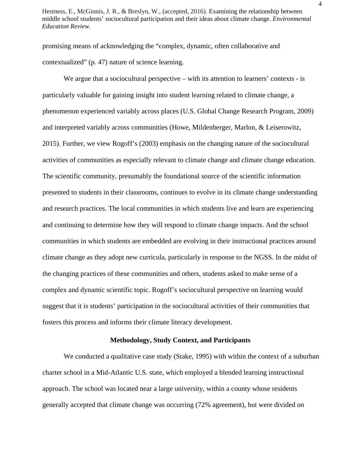promising means of acknowledging the "complex, dynamic, often collaborative and contextualized" (p. 47) nature of science learning.

We argue that a sociocultural perspective – with its attention to learners' contexts - is particularly valuable for gaining insight into student learning related to climate change, a phenomenon experienced variably across places (U.S. Global Change Research Program, 2009) and interpreted variably across communities (Howe, Mildenberger, Marlon, & Leiserowitz, 2015). Further, we view Rogoff's (2003) emphasis on the changing nature of the sociocultural activities of communities as especially relevant to climate change and climate change education. The scientific community, presumably the foundational source of the scientific information presented to students in their classrooms, continues to evolve in its climate change understanding and research practices. The local communities in which students live and learn are experiencing and continuing to determine how they will respond to climate change impacts. And the school communities in which students are embedded are evolving in their instructional practices around climate change as they adopt new curricula, particularly in response to the NGSS. In the midst of the changing practices of these communities and others, students asked to make sense of a complex and dynamic scientific topic. Rogoff's sociocultural perspective on learning would suggest that it is students' participation in the sociocultural activities of their communities that fosters this process and informs their climate literacy development.

# **Methodology, Study Context, and Participants**

We conducted a qualitative case study (Stake, 1995) with within the context of a suburban charter school in a Mid-Atlantic U.S. state, which employed a blended learning instructional approach. The school was located near a large university, within a county whose residents generally accepted that climate change was occurring (72% agreement), but were divided on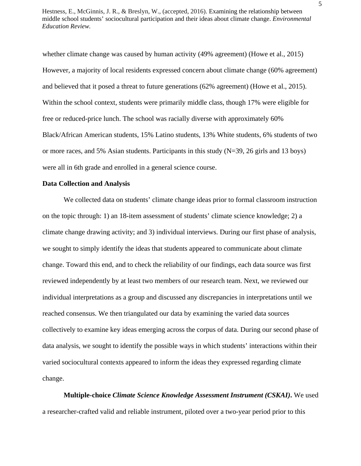whether climate change was caused by human activity (49% agreement) (Howe et al., 2015) However, a majority of local residents expressed concern about climate change (60% agreement) and believed that it posed a threat to future generations (62% agreement) (Howe et al., 2015). Within the school context, students were primarily middle class, though 17% were eligible for free or reduced-price lunch. The school was racially diverse with approximately 60% Black/African American students, 15% Latino students, 13% White students, 6% students of two or more races, and 5% Asian students. Participants in this study (N=39, 26 girls and 13 boys) were all in 6th grade and enrolled in a general science course.

#### **Data Collection and Analysis**

We collected data on students' climate change ideas prior to formal classroom instruction on the topic through: 1) an 18-item assessment of students' climate science knowledge; 2) a climate change drawing activity; and 3) individual interviews. During our first phase of analysis, we sought to simply identify the ideas that students appeared to communicate about climate change. Toward this end, and to check the reliability of our findings, each data source was first reviewed independently by at least two members of our research team. Next, we reviewed our individual interpretations as a group and discussed any discrepancies in interpretations until we reached consensus. We then triangulated our data by examining the varied data sources collectively to examine key ideas emerging across the corpus of data. During our second phase of data analysis, we sought to identify the possible ways in which students' interactions within their varied sociocultural contexts appeared to inform the ideas they expressed regarding climate change.

**Multiple-choice** *Climate Science Knowledge Assessment Instrument (CSKAI)***.** We used a researcher-crafted valid and reliable instrument, piloted over a two-year period prior to this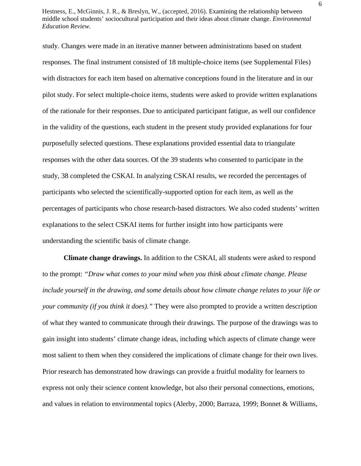study. Changes were made in an iterative manner between administrations based on student responses. The final instrument consisted of 18 multiple-choice items (see Supplemental Files) with distractors for each item based on alternative conceptions found in the literature and in our pilot study. For select multiple-choice items, students were asked to provide written explanations of the rationale for their responses. Due to anticipated participant fatigue, as well our confidence in the validity of the questions, each student in the present study provided explanations for four purposefully selected questions. These explanations provided essential data to triangulate responses with the other data sources. Of the 39 students who consented to participate in the study, 38 completed the CSKAI. In analyzing CSKAI results, we recorded the percentages of participants who selected the scientifically-supported option for each item, as well as the percentages of participants who chose research-based distractors. We also coded students' written explanations to the select CSKAI items for further insight into how participants were understanding the scientific basis of climate change.

**Climate change drawings.** In addition to the CSKAI, all students were asked to respond to the prompt: *"Draw what comes to your mind when you think about climate change. Please include yourself in the drawing, and some details about how climate change relates to your life or your community (if you think it does)."* They were also prompted to provide a written description of what they wanted to communicate through their drawings. The purpose of the drawings was to gain insight into students' climate change ideas, including which aspects of climate change were most salient to them when they considered the implications of climate change for their own lives. Prior research has demonstrated how drawings can provide a fruitful modality for learners to express not only their science content knowledge, but also their personal connections, emotions, and values in relation to environmental topics (Alerby, 2000; Barraza, 1999; Bonnet & Williams,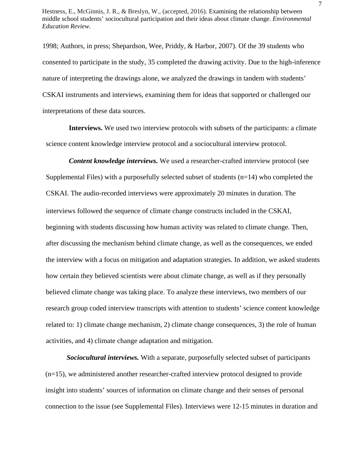1998; Authors, in press; Shepardson, Wee, Priddy, & Harbor, 2007). Of the 39 students who consented to participate in the study, 35 completed the drawing activity. Due to the high-inference nature of interpreting the drawings alone, we analyzed the drawings in tandem with students' CSKAI instruments and interviews, examining them for ideas that supported or challenged our interpretations of these data sources.

**Interviews.** We used two interview protocols with subsets of the participants: a climate science content knowledge interview protocol and a sociocultural interview protocol.

*Content knowledge interviews.* We used a researcher-crafted interview protocol (see Supplemental Files) with a purposefully selected subset of students  $(n=14)$  who completed the CSKAI. The audio-recorded interviews were approximately 20 minutes in duration. The interviews followed the sequence of climate change constructs included in the CSKAI, beginning with students discussing how human activity was related to climate change. Then, after discussing the mechanism behind climate change, as well as the consequences, we ended the interview with a focus on mitigation and adaptation strategies. In addition, we asked students how certain they believed scientists were about climate change, as well as if they personally believed climate change was taking place. To analyze these interviews, two members of our research group coded interview transcripts with attention to students' science content knowledge related to: 1) climate change mechanism, 2) climate change consequences, 3) the role of human activities, and 4) climate change adaptation and mitigation.

*Sociocultural interviews.* With a separate, purposefully selected subset of participants (n=15), we administered another researcher-crafted interview protocol designed to provide insight into students' sources of information on climate change and their senses of personal connection to the issue (see Supplemental Files). Interviews were 12-15 minutes in duration and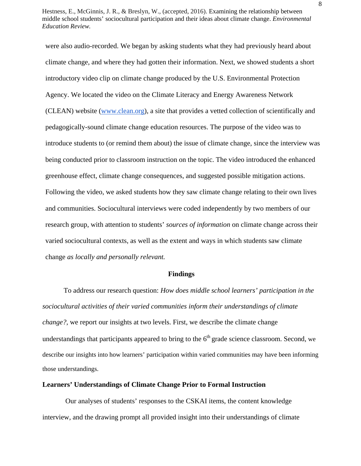were also audio-recorded. We began by asking students what they had previously heard about climate change, and where they had gotten their information. Next, we showed students a short introductory video clip on climate change produced by the U.S. Environmental Protection Agency. We located the video on the Climate Literacy and Energy Awareness Network (CLEAN) website [\(www.clean.org\)](http://www.clean.org/), a site that provides a vetted collection of scientifically and pedagogically-sound climate change education resources. The purpose of the video was to introduce students to (or remind them about) the issue of climate change, since the interview was being conducted prior to classroom instruction on the topic. The video introduced the enhanced greenhouse effect, climate change consequences, and suggested possible mitigation actions. Following the video, we asked students how they saw climate change relating to their own lives and communities. Sociocultural interviews were coded independently by two members of our research group, with attention to students' *sources of information* on climate change across their varied sociocultural contexts, as well as the extent and ways in which students saw climate change *as locally and personally relevant.*

#### **Findings**

To address our research question: *How does middle school learners' participation in the sociocultural activities of their varied communities inform their understandings of climate change?,* we report our insights at two levels. First, we describe the climate change understandings that participants appeared to bring to the  $6<sup>th</sup>$  grade science classroom. Second, we describe our insights into how learners' participation within varied communities may have been informing those understandings.

## **Learners' Understandings of Climate Change Prior to Formal Instruction**

Our analyses of students' responses to the CSKAI items, the content knowledge interview, and the drawing prompt all provided insight into their understandings of climate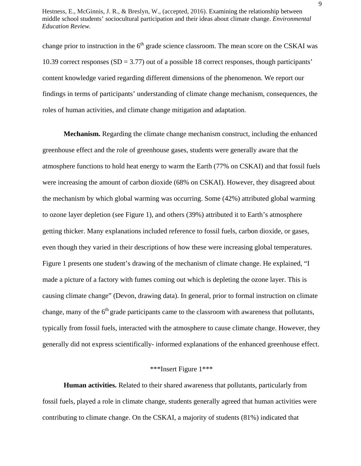change prior to instruction in the  $6<sup>th</sup>$  grade science classroom. The mean score on the CSKAI was 10.39 correct responses  $(SD = 3.77)$  out of a possible 18 correct responses, though participants' content knowledge varied regarding different dimensions of the phenomenon. We report our findings in terms of participants' understanding of climate change mechanism, consequences, the roles of human activities, and climate change mitigation and adaptation.

**Mechanism.** Regarding the climate change mechanism construct, including the enhanced greenhouse effect and the role of greenhouse gases, students were generally aware that the atmosphere functions to hold heat energy to warm the Earth (77% on CSKAI) and that fossil fuels were increasing the amount of carbon dioxide (68% on CSKAI). However, they disagreed about the mechanism by which global warming was occurring. Some (42%) attributed global warming to ozone layer depletion (see Figure 1), and others (39%) attributed it to Earth's atmosphere getting thicker. Many explanations included reference to fossil fuels, carbon dioxide, or gases, even though they varied in their descriptions of how these were increasing global temperatures. Figure 1 presents one student's drawing of the mechanism of climate change. He explained, "I made a picture of a factory with fumes coming out which is depleting the ozone layer. This is causing climate change" (Devon, drawing data). In general, prior to formal instruction on climate change, many of the  $6<sup>th</sup>$  grade participants came to the classroom with awareness that pollutants, typically from fossil fuels, interacted with the atmosphere to cause climate change. However, they generally did not express scientifically- informed explanations of the enhanced greenhouse effect.

# \*\*\*Insert Figure 1\*\*\*

**Human activities.** Related to their shared awareness that pollutants, particularly from fossil fuels, played a role in climate change, students generally agreed that human activities were contributing to climate change. On the CSKAI, a majority of students (81%) indicated that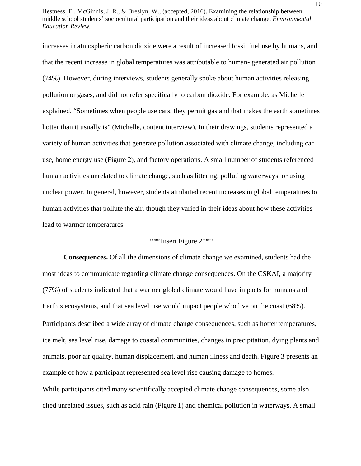increases in atmospheric carbon dioxide were a result of increased fossil fuel use by humans, and that the recent increase in global temperatures was attributable to human- generated air pollution (74%). However, during interviews, students generally spoke about human activities releasing pollution or gases, and did not refer specifically to carbon dioxide. For example, as Michelle explained, "Sometimes when people use cars, they permit gas and that makes the earth sometimes hotter than it usually is" (Michelle, content interview). In their drawings, students represented a variety of human activities that generate pollution associated with climate change, including car use, home energy use (Figure 2), and factory operations. A small number of students referenced human activities unrelated to climate change, such as littering, polluting waterways, or using nuclear power. In general, however, students attributed recent increases in global temperatures to human activities that pollute the air, though they varied in their ideas about how these activities lead to warmer temperatures.

### \*\*\*Insert Figure 2\*\*\*

**Consequences.** Of all the dimensions of climate change we examined, students had the most ideas to communicate regarding climate change consequences. On the CSKAI, a majority (77%) of students indicated that a warmer global climate would have impacts for humans and Earth's ecosystems, and that sea level rise would impact people who live on the coast (68%). Participants described a wide array of climate change consequences, such as hotter temperatures, ice melt, sea level rise, damage to coastal communities, changes in precipitation, dying plants and animals, poor air quality, human displacement, and human illness and death. Figure 3 presents an example of how a participant represented sea level rise causing damage to homes.

While participants cited many scientifically accepted climate change consequences, some also cited unrelated issues, such as acid rain (Figure 1) and chemical pollution in waterways. A small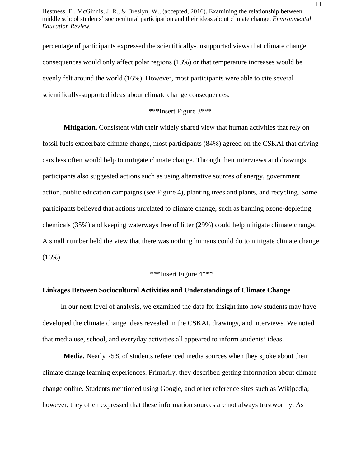percentage of participants expressed the scientifically-unsupported views that climate change consequences would only affect polar regions (13%) or that temperature increases would be evenly felt around the world (16%). However, most participants were able to cite several scientifically-supported ideas about climate change consequences.

### \*\*\*Insert Figure 3\*\*\*

**Mitigation.** Consistent with their widely shared view that human activities that rely on fossil fuels exacerbate climate change, most participants (84%) agreed on the CSKAI that driving cars less often would help to mitigate climate change. Through their interviews and drawings, participants also suggested actions such as using alternative sources of energy, government action, public education campaigns (see Figure 4), planting trees and plants, and recycling. Some participants believed that actions unrelated to climate change, such as banning ozone-depleting chemicals (35%) and keeping waterways free of litter (29%) could help mitigate climate change. A small number held the view that there was nothing humans could do to mitigate climate change  $(16\%)$ .

#### \*\*\*Insert Figure 4\*\*\*

#### **Linkages Between Sociocultural Activities and Understandings of Climate Change**

In our next level of analysis, we examined the data for insight into how students may have developed the climate change ideas revealed in the CSKAI, drawings, and interviews. We noted that media use, school, and everyday activities all appeared to inform students' ideas.

**Media.** Nearly 75% of students referenced media sources when they spoke about their climate change learning experiences. Primarily, they described getting information about climate change online. Students mentioned using Google, and other reference sites such as Wikipedia; however, they often expressed that these information sources are not always trustworthy. As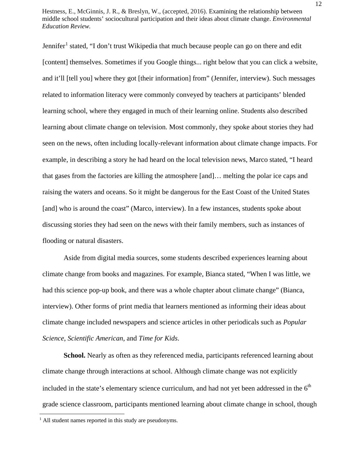Jennifer<sup>[1](#page-11-0)</sup> stated, "I don't trust Wikipedia that much because people can go on there and edit [content] themselves. Sometimes if you Google things... right below that you can click a website, and it'll [tell you] where they got [their information] from" (Jennifer, interview). Such messages related to information literacy were commonly conveyed by teachers at participants' blended learning school, where they engaged in much of their learning online. Students also described learning about climate change on television. Most commonly, they spoke about stories they had seen on the news, often including locally-relevant information about climate change impacts. For example, in describing a story he had heard on the local television news, Marco stated, "I heard that gases from the factories are killing the atmosphere [and]… melting the polar ice caps and raising the waters and oceans. So it might be dangerous for the East Coast of the United States [and] who is around the coast" (Marco, interview). In a few instances, students spoke about discussing stories they had seen on the news with their family members, such as instances of flooding or natural disasters.

Aside from digital media sources, some students described experiences learning about climate change from books and magazines. For example, Bianca stated, "When I was little, we had this science pop-up book, and there was a whole chapter about climate change" (Bianca, interview). Other forms of print media that learners mentioned as informing their ideas about climate change included newspapers and science articles in other periodicals such as *Popular Science*, *Scientific American*, and *Time for Kids*.

**School.** Nearly as often as they referenced media, participants referenced learning about climate change through interactions at school. Although climate change was not explicitly included in the state's elementary science curriculum, and had not yet been addressed in the  $6<sup>th</sup>$ grade science classroom, participants mentioned learning about climate change in school, though

<span id="page-11-0"></span> $<sup>1</sup>$  All student names reported in this study are pseudonyms.</sup>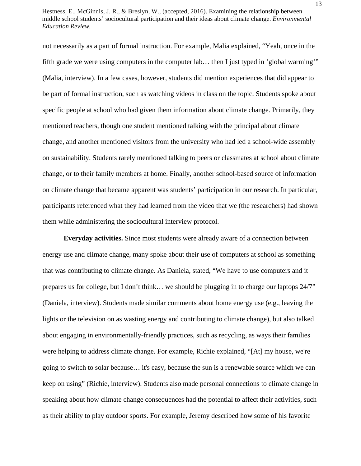not necessarily as a part of formal instruction. For example, Malia explained, "Yeah, once in the fifth grade we were using computers in the computer  $lab...$  then I just typed in 'global warming'" (Malia, interview). In a few cases, however, students did mention experiences that did appear to be part of formal instruction, such as watching videos in class on the topic. Students spoke about specific people at school who had given them information about climate change. Primarily, they mentioned teachers, though one student mentioned talking with the principal about climate change, and another mentioned visitors from the university who had led a school-wide assembly on sustainability. Students rarely mentioned talking to peers or classmates at school about climate change, or to their family members at home. Finally, another school-based source of information on climate change that became apparent was students' participation in our research. In particular, participants referenced what they had learned from the video that we (the researchers) had shown them while administering the sociocultural interview protocol.

**Everyday activities.** Since most students were already aware of a connection between energy use and climate change, many spoke about their use of computers at school as something that was contributing to climate change. As Daniela, stated, "We have to use computers and it prepares us for college, but I don't think… we should be plugging in to charge our laptops 24/7" (Daniela, interview). Students made similar comments about home energy use (e.g., leaving the lights or the television on as wasting energy and contributing to climate change), but also talked about engaging in environmentally-friendly practices, such as recycling, as ways their families were helping to address climate change. For example, Richie explained, "[At] my house, we're going to switch to solar because… it's easy, because the sun is a renewable source which we can keep on using" (Richie, interview). Students also made personal connections to climate change in speaking about how climate change consequences had the potential to affect their activities, such as their ability to play outdoor sports. For example, Jeremy described how some of his favorite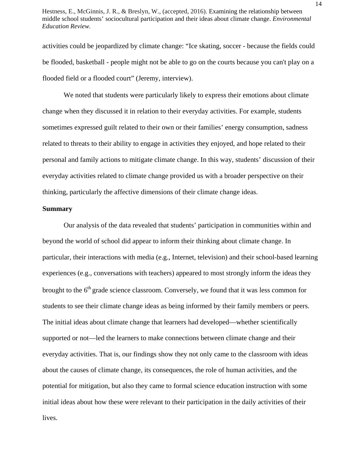activities could be jeopardized by climate change: "Ice skating, soccer - because the fields could be flooded, basketball - people might not be able to go on the courts because you can't play on a flooded field or a flooded court" (Jeremy, interview).

We noted that students were particularly likely to express their emotions about climate change when they discussed it in relation to their everyday activities. For example, students sometimes expressed guilt related to their own or their families' energy consumption, sadness related to threats to their ability to engage in activities they enjoyed, and hope related to their personal and family actions to mitigate climate change. In this way, students' discussion of their everyday activities related to climate change provided us with a broader perspective on their thinking, particularly the affective dimensions of their climate change ideas.

### **Summary**

Our analysis of the data revealed that students' participation in communities within and beyond the world of school did appear to inform their thinking about climate change. In particular, their interactions with media (e.g., Internet, television) and their school-based learning experiences (e.g., conversations with teachers) appeared to most strongly inform the ideas they brought to the  $6<sup>th</sup>$  grade science classroom. Conversely, we found that it was less common for students to see their climate change ideas as being informed by their family members or peers. The initial ideas about climate change that learners had developed—whether scientifically supported or not—led the learners to make connections between climate change and their everyday activities. That is, our findings show they not only came to the classroom with ideas about the causes of climate change, its consequences, the role of human activities, and the potential for mitigation, but also they came to formal science education instruction with some initial ideas about how these were relevant to their participation in the daily activities of their lives.

14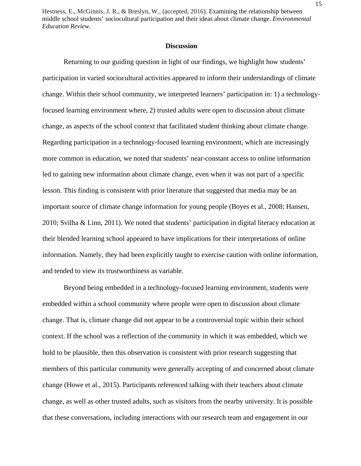### **Discussion**

Returning to our guiding question in light of our findings, we highlight how students' participation in varied sociocultural activities appeared to inform their understandings of climate change. Within their school community, we interpreted learners' participation in: 1) a technologyfocused learning environment where, 2) trusted adults were open to discussion about climate change, as aspects of the school context that facilitated student thinking about climate change. Regarding participation in a technology-focused learning environment, which are increasingly more common in education, we noted that students' near-constant access to online information led to gaining new information about climate change, even when it was not part of a specific lesson. This finding is consistent with prior literature that suggested that media may be an important source of climate change information for young people (Boyes et al., 2008; Hansen, 2010; Svilha & Linn, 2011). We noted that students' participation in digital literacy education at their blended learning school appeared to have implications for their interpretations of online information. Namely, they had been explicitly taught to exercise caution with online information, and tended to view its trustworthiness as variable.

Beyond being embedded in a technology-focused learning environment, students were embedded within a school community where people were open to discussion about climate change. That is, climate change did not appear to be a controversial topic within their school context. If the school was a reflection of the community in which it was embedded, which we hold to be plausible, then this observation is consistent with prior research suggesting that members of this particular community were generally accepting of and concerned about climate change (Howe et al., 2015). Participants referenced talking with their teachers about climate change, as well as other trusted adults, such as visitors from the nearby university. It is possible that these conversations, including interactions with our research team and engagement in our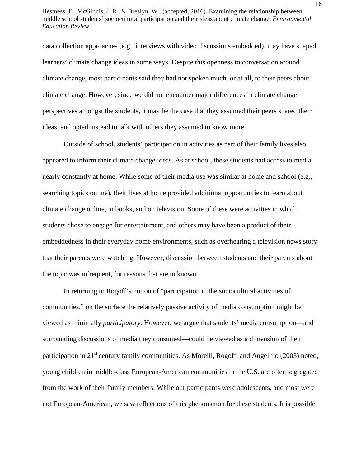data collection approaches (e.g., interviews with video discussions embedded), may have shaped learners' climate change ideas in some ways. Despite this openness to conversation around climate change, most participants said they had not spoken much, or at all, to their peers about climate change. However, since we did not encounter major differences in climate change perspectives amongst the students, it may be the case that they assumed their peers shared their ideas, and opted instead to talk with others they assumed to know more.

Outside of school, students' participation in activities as part of their family lives also appeared to inform their climate change ideas. As at school, these students had access to media nearly constantly at home. While some of their media use was similar at home and school (e.g., searching topics online), their lives at home provided additional opportunities to learn about climate change online, in books, and on television. Some of these were activities in which students chose to engage for entertainment, and others may have been a product of their embeddedness in their everyday home environments, such as overhearing a television news story that their parents were watching. However, discussion between students and their parents about the topic was infrequent, for reasons that are unknown.

In returning to Rogoff's notion of "participation in the sociocultural activities of communities," on the surface the relatively passive activity of media consumption might be viewed as minimally *participatory*. However, we argue that students' media consumption—and surrounding discussions of media they consumed—could be viewed as a dimension of their participation in  $21<sup>st</sup>$  century family communities. As Morelli, Rogoff, and Angellilo (2003) noted, young children in middle-class European-American communities in the U.S. are often segregated from the work of their family members. While our participants were adolescents, and most were not European-American, we saw reflections of this phenomenon for these students. It is possible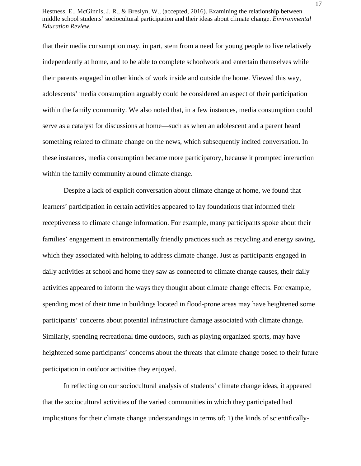that their media consumption may, in part, stem from a need for young people to live relatively independently at home, and to be able to complete schoolwork and entertain themselves while their parents engaged in other kinds of work inside and outside the home. Viewed this way, adolescents' media consumption arguably could be considered an aspect of their participation within the family community. We also noted that, in a few instances, media consumption could serve as a catalyst for discussions at home—such as when an adolescent and a parent heard something related to climate change on the news, which subsequently incited conversation. In these instances, media consumption became more participatory, because it prompted interaction within the family community around climate change.

Despite a lack of explicit conversation about climate change at home, we found that learners' participation in certain activities appeared to lay foundations that informed their receptiveness to climate change information. For example, many participants spoke about their families' engagement in environmentally friendly practices such as recycling and energy saving, which they associated with helping to address climate change. Just as participants engaged in daily activities at school and home they saw as connected to climate change causes, their daily activities appeared to inform the ways they thought about climate change effects. For example, spending most of their time in buildings located in flood-prone areas may have heightened some participants' concerns about potential infrastructure damage associated with climate change. Similarly, spending recreational time outdoors, such as playing organized sports, may have heightened some participants' concerns about the threats that climate change posed to their future participation in outdoor activities they enjoyed.

In reflecting on our sociocultural analysis of students' climate change ideas, it appeared that the sociocultural activities of the varied communities in which they participated had implications for their climate change understandings in terms of: 1) the kinds of scientifically-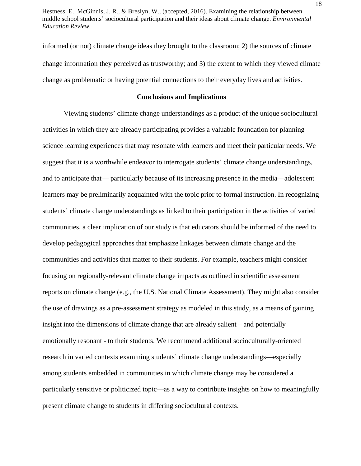informed (or not) climate change ideas they brought to the classroom; 2) the sources of climate change information they perceived as trustworthy; and 3) the extent to which they viewed climate change as problematic or having potential connections to their everyday lives and activities.

## **Conclusions and Implications**

Viewing students' climate change understandings as a product of the unique sociocultural activities in which they are already participating provides a valuable foundation for planning science learning experiences that may resonate with learners and meet their particular needs. We suggest that it is a worthwhile endeavor to interrogate students' climate change understandings, and to anticipate that— particularly because of its increasing presence in the media—adolescent learners may be preliminarily acquainted with the topic prior to formal instruction. In recognizing students' climate change understandings as linked to their participation in the activities of varied communities, a clear implication of our study is that educators should be informed of the need to develop pedagogical approaches that emphasize linkages between climate change and the communities and activities that matter to their students. For example, teachers might consider focusing on regionally-relevant climate change impacts as outlined in scientific assessment reports on climate change (e.g., the U.S. National Climate Assessment). They might also consider the use of drawings as a pre-assessment strategy as modeled in this study, as a means of gaining insight into the dimensions of climate change that are already salient – and potentially emotionally resonant - to their students. We recommend additional socioculturally-oriented research in varied contexts examining students' climate change understandings—especially among students embedded in communities in which climate change may be considered a particularly sensitive or politicized topic—as a way to contribute insights on how to meaningfully present climate change to students in differing sociocultural contexts.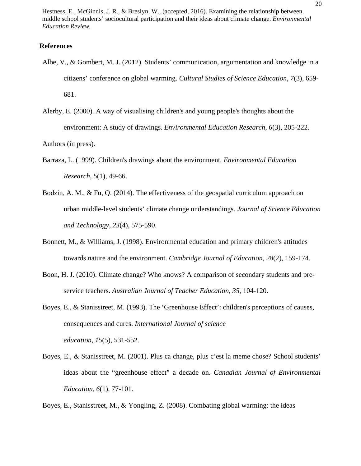# **References**

- Albe, V., & Gombert, M. J. (2012). Students' communication, argumentation and knowledge in a citizens' conference on global warming. *Cultural Studies of Science Education*, *7*(3), 659- 681.
- Alerby, E. (2000). A way of visualising children's and young people's thoughts about the environment: A study of drawings. *Environmental Education Research*, *6*(3), 205-222.

Authors (in press).

- Barraza, L. (1999). Children's drawings about the environment. *Environmental Education Research*, *5*(1), 49-66.
- Bodzin, A. M., & Fu, Q. (2014). The effectiveness of the geospatial curriculum approach on urban middle-level students' climate change understandings. *Journal of Science Education and Technology*, *23*(4), 575-590.
- Bonnett, M., & Williams, J. (1998). Environmental education and primary children's attitudes towards nature and the environment. *Cambridge Journal of Education*, *28*(2), 159-174.
- Boon, H. J. (2010). Climate change? Who knows? A comparison of secondary students and preservice teachers. *Australian Journal of Teacher Education*, *35*, 104-120.
- Boyes, E., & Stanisstreet, M. (1993). The 'Greenhouse Effect': children's perceptions of causes, consequences and cures. *International Journal of science education*, *15*(5), 531-552.
- Boyes, E., & Stanisstreet, M. (2001). Plus ca change, plus c'est la meme chose? School students' ideas about the "greenhouse effect" a decade on. *Canadian Journal of Environmental Education*, *6*(1), 77-101.
- Boyes, E., Stanisstreet, M., & Yongling, Z. (2008). Combating global warming: the ideas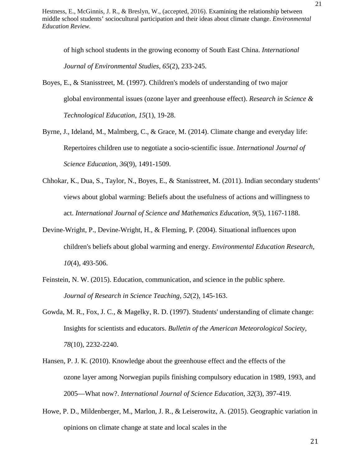of high school students in the growing economy of South East China. *International Journal of Environmental Studies*, *65*(2), 233-245.

- Boyes, E., & Stanisstreet, M. (1997). Children's models of understanding of two major global environmental issues (ozone layer and greenhouse effect). *Research in Science & Technological Education*, *15*(1), 19-28.
- Byrne, J., Ideland, M., Malmberg, C., & Grace, M. (2014). Climate change and everyday life: Repertoires children use to negotiate a socio-scientific issue. *International Journal of Science Education*, *36*(9), 1491-1509.
- Chhokar, K., Dua, S., Taylor, N., Boyes, E., & Stanisstreet, M. (2011). Indian secondary students' views about global warming: Beliefs about the usefulness of actions and willingness to act. *International Journal of Science and Mathematics Education*, *9*(5), 1167-1188.
- Devine-Wright, P., Devine-Wright, H., & Fleming, P. (2004). Situational influences upon children's beliefs about global warming and energy. *Environmental Education Research*, *10*(4), 493-506.
- Feinstein, N. W. (2015). Education, communication, and science in the public sphere. *Journal of Research in Science Teaching*, *52*(2), 145-163.
- Gowda, M. R., Fox, J. C., & Magelky, R. D. (1997). Students' understanding of climate change: Insights for scientists and educators. *Bulletin of the American Meteorological Society*, *78*(10), 2232-2240.
- Hansen, P. J. K. (2010). Knowledge about the greenhouse effect and the effects of the ozone layer among Norwegian pupils finishing compulsory education in 1989, 1993, and 2005—What now?. *International Journal of Science Education*, *32*(3), 397-419.
- Howe, P. D., Mildenberger, M., Marlon, J. R., & Leiserowitz, A. (2015). Geographic variation in opinions on climate change at state and local scales in the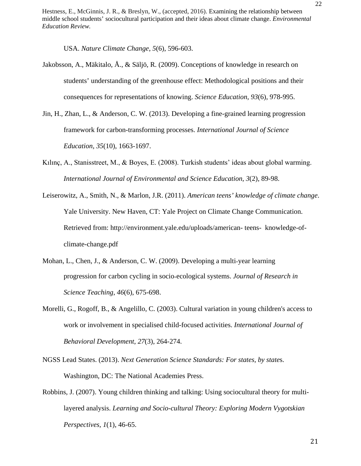22

Hestness, E., McGinnis, J. R., & Breslyn, W., (accepted, 2016). Examining the relationship between middle school students' sociocultural participation and their ideas about climate change. *Environmental Education Review.*

USA. *Nature Climate Change*, *5*(6), 596-603.

- Jakobsson, A., Mäkitalo, Å., & Säljö, R. (2009). Conceptions of knowledge in research on students' understanding of the greenhouse effect: Methodological positions and their consequences for representations of knowing. *Science Education*, *93*(6), 978-995.
- Jin, H., Zhan, L., & Anderson, C. W. (2013). Developing a fine-grained learning progression framework for carbon-transforming processes. *International Journal of Science Education*, *35*(10), 1663-1697.
- Kılınç, A., Stanisstreet, M., & Boyes, E. (2008). Turkish students' ideas about global warming. *International Journal of Environmental and Science Education*, *3*(2), 89-98.
- Leiserowitz, A., Smith, N., & Marlon, J.R. (2011). *American teens' knowledge of climate change*. Yale University. New Haven, CT: Yale Project on Climate Change [Communication.](http://environment.yale.edu/uploads/american-)  [Retrieved from: http://environment.yale.edu/uploads/american-](http://environment.yale.edu/uploads/american-) teens- knowledge-ofclimate-change.pdf
- Mohan, L., Chen, J., & Anderson, C. W. (2009). Developing a multi-year learning progression for carbon cycling in socioecological systems. *Journal of Research in Science Teaching*, *46*(6), 675-698.
- Morelli, G., Rogoff, B., & Angelillo, C. (2003). Cultural variation in young children's access to work or involvement in specialised child-focused activities. *International Journal of Behavioral Development*, *27*(3), 264-274.
- NGSS Lead States. (2013). *Next Generation Science Standards: For states, by state*s. Washington, DC: The National Academies Press.
- Robbins, J. (2007). Young children thinking and talking: Using sociocultural theory for multilayered analysis. *Learning and Socio-cultural Theory: Exploring Modern Vygotskian Perspectives, 1*(1), 46-65.